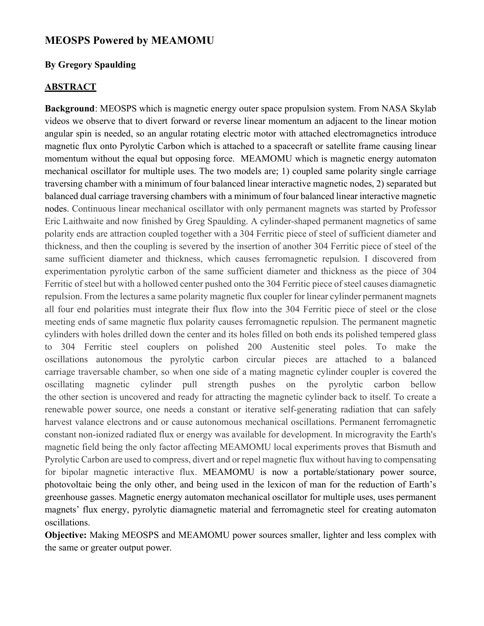## MEOSPS Powered by MEAMOMU

## By Gregory Spaulding

## **ABSTRACT**

Background: MEOSPS which is magnetic energy outer space propulsion system. From NASA Skylab videos we observe that to divert forward or reverse linear momentum an adjacent to the linear motion angular spin is needed, so an angular rotating electric motor with attached electromagnetics introduce magnetic flux onto Pyrolytic Carbon which is attached to a spacecraft or satellite frame causing linear momentum without the equal but opposing force. MEAMOMU which is magnetic energy automaton mechanical oscillator for multiple uses. The two models are; 1) coupled same polarity single carriage traversing chamber with a minimum of four balanced linear interactive magnetic nodes, 2) separated but balanced dual carriage traversing chambers with a minimum of four balanced linear interactive magnetic nodes. Continuous linear mechanical oscillator with only permanent magnets was started by Professor Eric Laithwaite and now finished by Greg Spaulding. A cylinder-shaped permanent magnetics of same polarity ends are attraction coupled together with a 304 Ferritic piece of steel of sufficient diameter and thickness, and then the coupling is severed by the insertion of another 304 Ferritic piece of steel of the same sufficient diameter and thickness, which causes ferromagnetic repulsion. I discovered from experimentation pyrolytic carbon of the same sufficient diameter and thickness as the piece of 304 Ferritic of steel but with a hollowed center pushed onto the 304 Ferritic piece of steel causes diamagnetic repulsion. From the lectures a same polarity magnetic flux coupler for linear cylinder permanent magnets all four end polarities must integrate their flux flow into the 304 Ferritic piece of steel or the close meeting ends of same magnetic flux polarity causes ferromagnetic repulsion. The permanent magnetic cylinders with holes drilled down the center and its holes filled on both ends its polished tempered glass to 304 Ferritic steel couplers on polished 200 Austenitic steel poles. To make the oscillations autonomous the pyrolytic carbon circular pieces are attached to a balanced carriage traversable chamber, so when one side of a mating magnetic cylinder coupler is covered the oscillating magnetic cylinder pull strength pushes on the pyrolytic carbon bellow the other section is uncovered and ready for attracting the magnetic cylinder back to itself. To create a renewable power source, one needs a constant or iterative self-generating radiation that can safely harvest valance electrons and or cause autonomous mechanical oscillations. Permanent ferromagnetic constant non-ionized radiated flux or energy was available for development. In microgravity the Earth's magnetic field being the only factor affecting MEAMOMU local experiments proves that Bismuth and Pyrolytic Carbon are used to compress, divert and or repel magnetic flux without having to compensating for bipolar magnetic interactive flux. MEAMOMU is now a portable/stationary power source, photovoltaic being the only other, and being used in the lexicon of man for the reduction of Earth's greenhouse gasses. Magnetic energy automaton mechanical oscillator for multiple uses, uses permanent magnets' flux energy, pyrolytic diamagnetic material and ferromagnetic steel for creating automaton oscillations.

Objective: Making MEOSPS and MEAMOMU power sources smaller, lighter and less complex with the same or greater output power.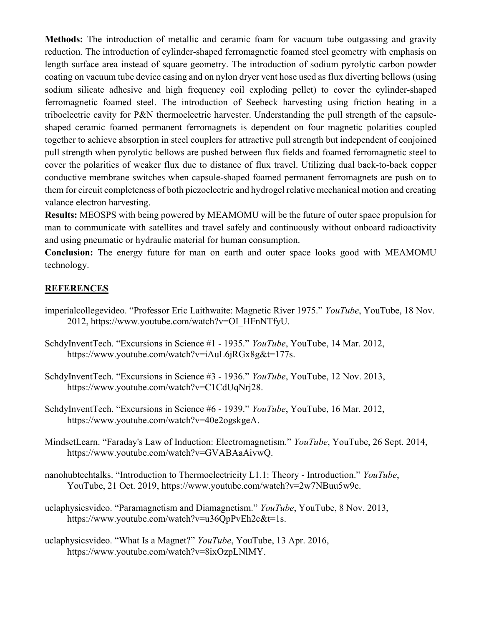Methods: The introduction of metallic and ceramic foam for vacuum tube outgassing and gravity reduction. The introduction of cylinder-shaped ferromagnetic foamed steel geometry with emphasis on length surface area instead of square geometry. The introduction of sodium pyrolytic carbon powder coating on vacuum tube device casing and on nylon dryer vent hose used as flux diverting bellows (using sodium silicate adhesive and high frequency coil exploding pellet) to cover the cylinder-shaped ferromagnetic foamed steel. The introduction of Seebeck harvesting using friction heating in a triboelectric cavity for P&N thermoelectric harvester. Understanding the pull strength of the capsuleshaped ceramic foamed permanent ferromagnets is dependent on four magnetic polarities coupled together to achieve absorption in steel couplers for attractive pull strength but independent of conjoined pull strength when pyrolytic bellows are pushed between flux fields and foamed ferromagnetic steel to cover the polarities of weaker flux due to distance of flux travel. Utilizing dual back-to-back copper conductive membrane switches when capsule-shaped foamed permanent ferromagnets are push on to them for circuit completeness of both piezoelectric and hydrogel relative mechanical motion and creating valance electron harvesting.

Results: MEOSPS with being powered by MEAMOMU will be the future of outer space propulsion for man to communicate with satellites and travel safely and continuously without onboard radioactivity and using pneumatic or hydraulic material for human consumption.

Conclusion: The energy future for man on earth and outer space looks good with MEAMOMU technology.

## **REFERENCES**

- imperialcollegevideo. "Professor Eric Laithwaite: Magnetic River 1975." YouTube, YouTube, 18 Nov. 2012, https://www.youtube.com/watch?v=OI\_HFnNTfyU.
- SchdyInventTech. "Excursions in Science #1 1935." YouTube, YouTube, 14 Mar. 2012, https://www.youtube.com/watch?v=iAuL6jRGx8g&t=177s.
- SchdyInventTech. "Excursions in Science #3 1936." YouTube, YouTube, 12 Nov. 2013, https://www.youtube.com/watch?v=C1CdUqNrj28.
- SchdyInventTech. "Excursions in Science #6 1939." YouTube, YouTube, 16 Mar. 2012, https://www.youtube.com/watch?v=40e2ogskgeA.
- MindsetLearn. "Faraday's Law of Induction: Electromagnetism." YouTube, YouTube, 26 Sept. 2014, https://www.youtube.com/watch?v=GVABAaAivwQ.
- nanohubtechtalks. "Introduction to Thermoelectricity L1.1: Theory Introduction." YouTube, YouTube, 21 Oct. 2019, https://www.youtube.com/watch?v=2w7NBuu5w9c.
- uclaphysicsvideo. "Paramagnetism and Diamagnetism." YouTube, YouTube, 8 Nov. 2013, https://www.youtube.com/watch?v=u36QpPvEh2c&t=1s.
- uclaphysicsvideo. "What Is a Magnet?" YouTube, YouTube, 13 Apr. 2016, https://www.youtube.com/watch?v=8ixOzpLNlMY.